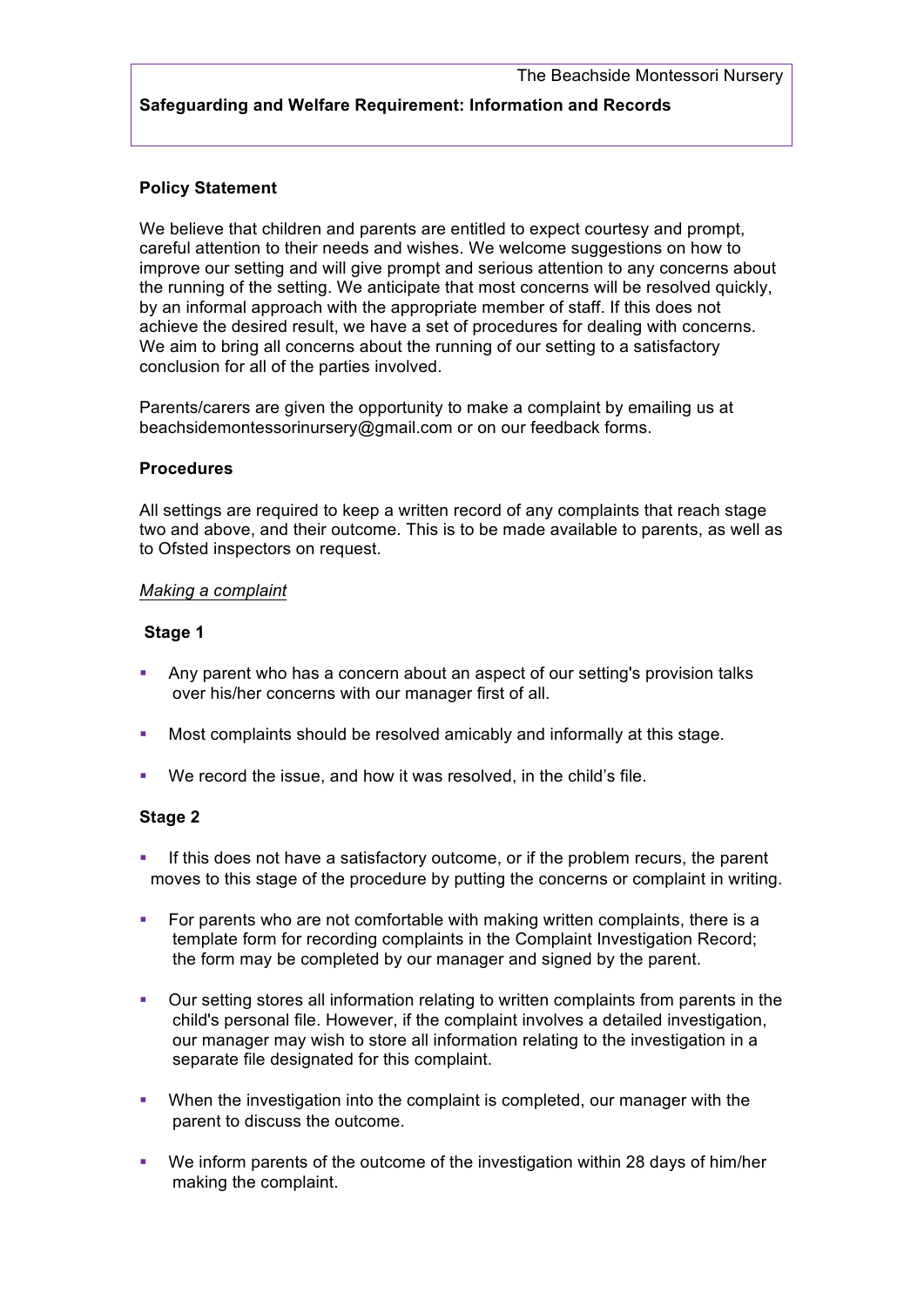## **Safeguarding and Welfare Requirement: Information and Records**

### **Policy Statement**

We believe that children and parents are entitled to expect courtesy and prompt, careful attention to their needs and wishes. We welcome suggestions on how to improve our setting and will give prompt and serious attention to any concerns about the running of the setting. We anticipate that most concerns will be resolved quickly, by an informal approach with the appropriate member of staff. If this does not achieve the desired result, we have a set of procedures for dealing with concerns. We aim to bring all concerns about the running of our setting to a satisfactory conclusion for all of the parties involved.

Parents/carers are given the opportunity to make a complaint by emailing us at beachsidemontessorinursery@gmail.com or on our feedback forms.

### **Procedures**

All settings are required to keep a written record of any complaints that reach stage two and above, and their outcome. This is to be made available to parents, as well as to Ofsted inspectors on request.

#### *Making a complaint*

#### **Stage 1**

- Any parent who has a concern about an aspect of our setting's provision talks over his/her concerns with our manager first of all.
- § Most complaints should be resolved amicably and informally at this stage.
- We record the issue, and how it was resolved, in the child's file.

#### **Stage 2**

- If this does not have a satisfactory outcome, or if the problem recurs, the parent moves to this stage of the procedure by putting the concerns or complaint in writing.
- § For parents who are not comfortable with making written complaints, there is a template form for recording complaints in the Complaint Investigation Record; the form may be completed by our manager and signed by the parent.
- Our setting stores all information relating to written complaints from parents in the child's personal file. However, if the complaint involves a detailed investigation, our manager may wish to store all information relating to the investigation in a separate file designated for this complaint.
- When the investigation into the complaint is completed, our manager with the parent to discuss the outcome.
- We inform parents of the outcome of the investigation within 28 days of him/her making the complaint.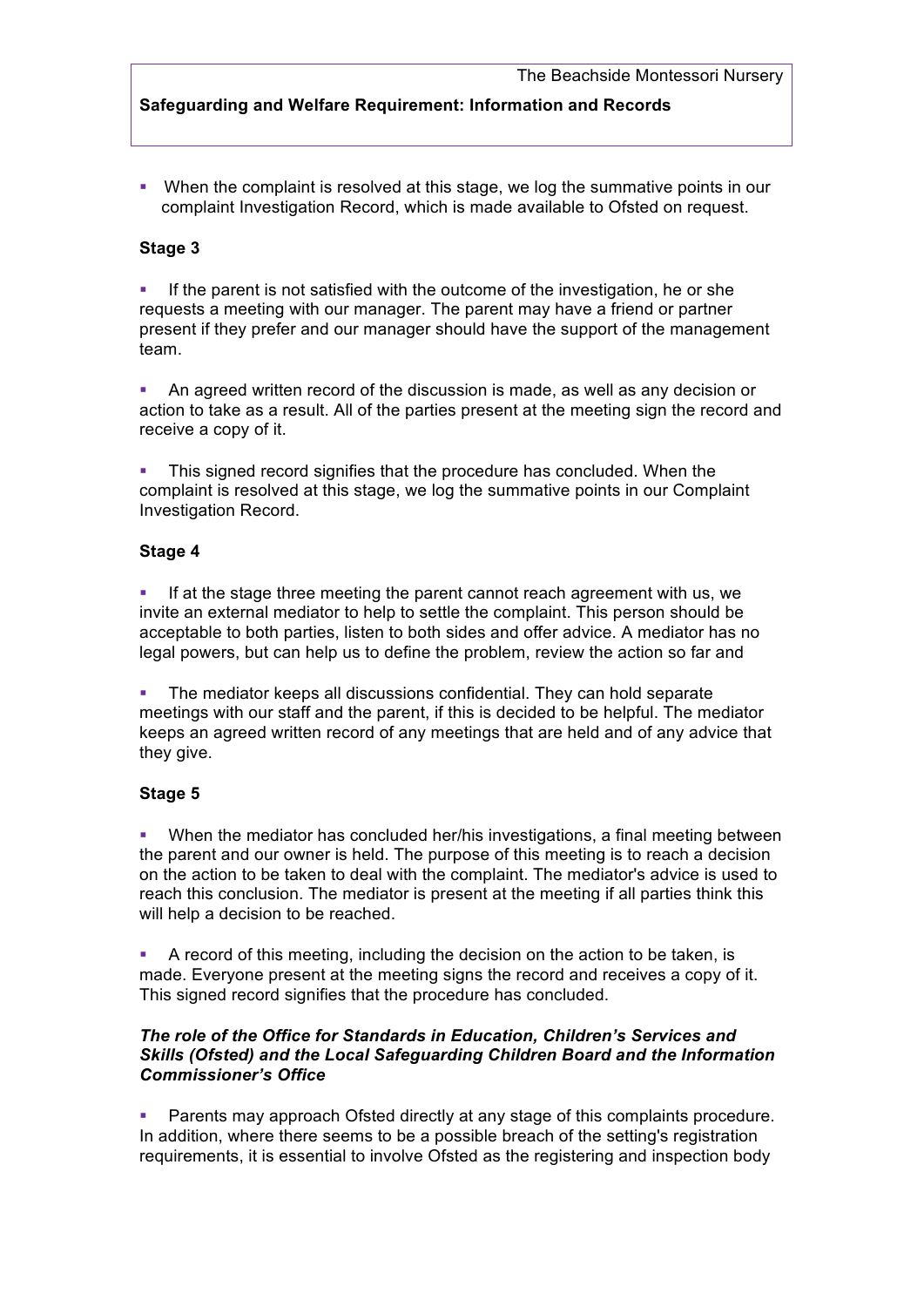# **Safeguarding and Welfare Requirement: Information and Records**

§ When the complaint is resolved at this stage, we log the summative points in our complaint Investigation Record, which is made available to Ofsted on request.

### **Stage 3**

**•** If the parent is not satisfied with the outcome of the investigation, he or she requests a meeting with our manager. The parent may have a friend or partner present if they prefer and our manager should have the support of the management team.

§ An agreed written record of the discussion is made, as well as any decision or action to take as a result. All of the parties present at the meeting sign the record and receive a copy of it.

§ This signed record signifies that the procedure has concluded. When the complaint is resolved at this stage, we log the summative points in our Complaint Investigation Record.

### **Stage 4**

If at the stage three meeting the parent cannot reach agreement with us, we invite an external mediator to help to settle the complaint. This person should be acceptable to both parties, listen to both sides and offer advice. A mediator has no legal powers, but can help us to define the problem, review the action so far and

The mediator keeps all discussions confidential. They can hold separate meetings with our staff and the parent, if this is decided to be helpful. The mediator keeps an agreed written record of any meetings that are held and of any advice that they give.

## **Stage 5**

When the mediator has concluded her/his investigations, a final meeting between the parent and our owner is held. The purpose of this meeting is to reach a decision on the action to be taken to deal with the complaint. The mediator's advice is used to reach this conclusion. The mediator is present at the meeting if all parties think this will help a decision to be reached.

§ A record of this meeting, including the decision on the action to be taken, is made. Everyone present at the meeting signs the record and receives a copy of it. This signed record signifies that the procedure has concluded.

### *The role of the Office for Standards in Education, Children's Services and Skills (Ofsted) and the Local Safeguarding Children Board and the Information Commissioner's Office*

Parents may approach Ofsted directly at any stage of this complaints procedure. In addition, where there seems to be a possible breach of the setting's registration requirements, it is essential to involve Ofsted as the registering and inspection body